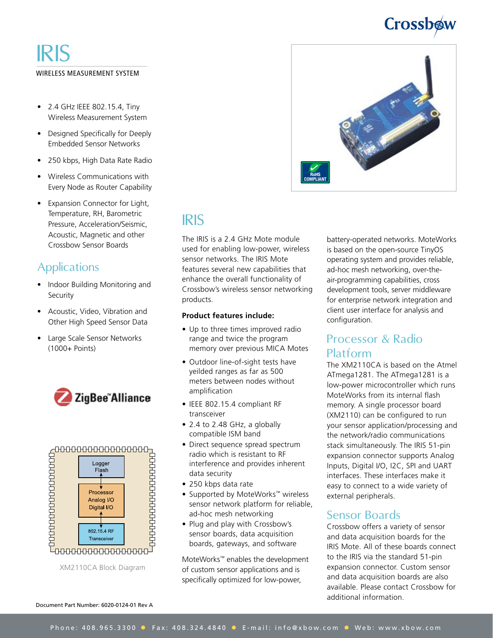# Crossbow

## WIRELESS MEASUREMENT SYSTEM IRIS

- 2.4 GHz IEEE 802.15.4, Tiny Wireless Measurement System
- • Designed Specifically for Deeply Embedded Sensor Networks
- • 250 kbps, High Data Rate Radio
- Wireless Communications with Every Node as Router Capability
- Expansion Connector for Light, Temperature, RH, Barometric Pressure, Acceleration/Seismic, Acoustic, Magnetic and other Crossbow Sensor Boards

## **Applications**

- Indoor Building Monitoring and **Security**
- • Acoustic, Video, Vibration and Other High Speed Sensor Data
- Large Scale Sensor Networks (1000+ Points)





XM2110CA Block Diagram



## IRIS

The IRIS is a 2.4 GHz Mote module used for enabling low-power, wireless sensor networks. The IRIS Mote features several new capabilities that enhance the overall functionality of Crossbow's wireless sensor networking products.

#### **Product features include:**

- Up to three times improved radio range and twice the program memory over previous MICA Motes
- Outdoor line-of-sight tests have yeilded ranges as far as 500 meters between nodes without amplification
- • IEEE 802.15.4 compliant RF transceiver
- 2.4 to 2.48 GHz, a globally compatible ISM band
- Direct sequence spread spectrum radio which is resistant to RF interference and provides inherent data security
- • 250 kbps data rate
- Supported by MoteWorks™ wireless sensor network platform for reliable, ad-hoc mesh networking
- Plug and play with Crossbow's sensor boards, data acquisition boards, gateways, and software

MoteWorks™ enables the development of custom sensor applications and is specifically optimized for low-power,

battery-operated networks. MoteWorks is based on the open-source TinyOS operating system and provides reliable, ad-hoc mesh networking, over-theair-programming capabilities, cross development tools, server middleware for enterprise network integration and client user interface for analysis and configuration.

### Processor & Radio Platform

The XM2110CA is based on the Atmel ATmega1281. The ATmega1281 is a low-power microcontroller which runs MoteWorks from its internal flash memory. A single processor board (XM2110) can be configured to run your sensor application/processing and the network/radio communications stack simultaneously. The IRIS 51-pin expansion connector supports Analog Inputs, Digital I/O, I2C, SPI and UART interfaces. These interfaces make it easy to connect to a wide variety of external peripherals.

### Sensor Boards

Crossbow offers a variety of sensor and data acquisition boards for the IRIS Mote. All of these boards connect to the IRIS via the standard 51-pin expansion connector. Custom sensor and data acquisition boards are also available. Please contact Crossbow for additional information.

Document Part Number: 6020-0124-01 Rev A